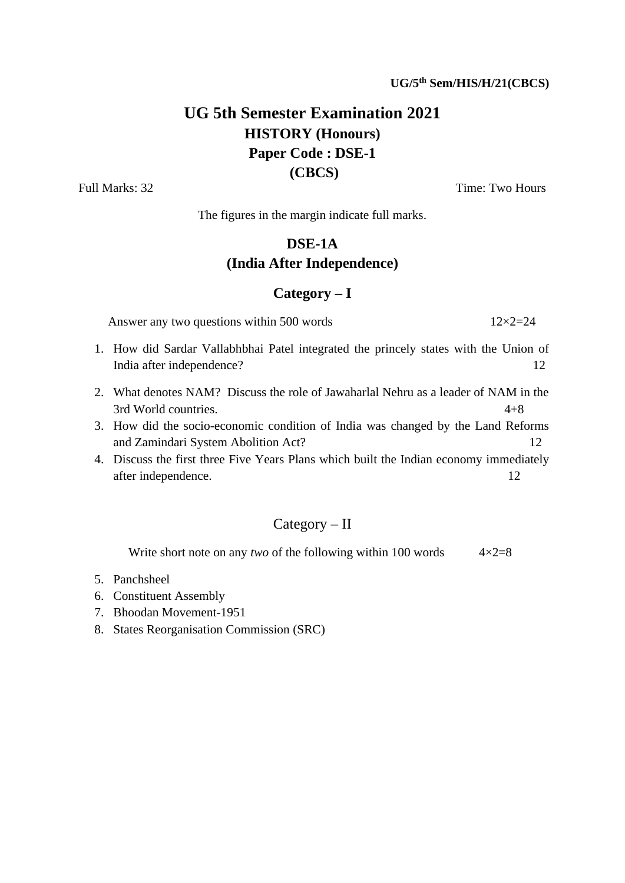# **UG 5th Semester Examination 2021 HISTORY (Honours) Paper Code : DSE-1 (CBCS)**

Full Marks: 32 Time: Two Hours

The figures in the margin indicate full marks.

#### **DSE-1A**

#### **(India After Independence)**

#### **Category – I**

Answer any two questions within 500 words  $12\times2=24$ 

- 1. How did Sardar Vallabhbhai Patel integrated the princely states with the Union of India after independence? 12
- 2. What denotes NAM? Discuss the role of Jawaharlal Nehru as a leader of NAM in the 3rd World countries. 4+8
- 3. How did the socio-economic condition of India was changed by the Land Reforms and Zamindari System Abolition Act? 12
- 4. Discuss the first three Five Years Plans which built the Indian economy immediately after independence. 12

### Category – II

Write short note on any *two* of the following within 100 words  $4 \times 2=8$ 

- 5. Panchsheel
- 6. Constituent Assembly
- 7. Bhoodan Movement-1951
- 8. States Reorganisation Commission (SRC)